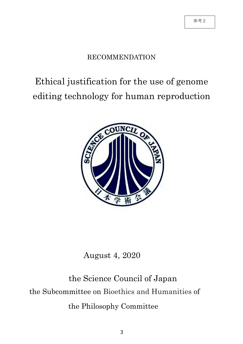## RECOMMENDATION

# Ethical justification for the use of genome editing technology for human reproduction



## August 4, 2020

# the Science Council of Japan the Subcommittee on Bioethics and Humanities of the Philosophy Committee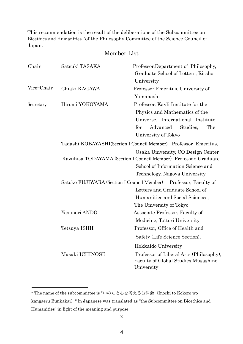This recommendation is the result of the deliberations of the Subcommittee on Bioethics and Humanities \* of the Philosophy Committee of the Science Council of Japan.

## Member List

| Chair      | Satsuki TASAKA                             | Professor, Department of Philosophy,<br>Graduate School of Letters, Rissho<br>University                                                                                     |
|------------|--------------------------------------------|------------------------------------------------------------------------------------------------------------------------------------------------------------------------------|
| Vice-Chair | Chiaki KAGAWA                              | Professor Emeritus, University of                                                                                                                                            |
|            |                                            | Yamanashi                                                                                                                                                                    |
| Secretary  | Hiromi YOKOYAMA                            | Professor, Kavli Institute for the                                                                                                                                           |
|            |                                            | Physics and Mathematics of the                                                                                                                                               |
|            |                                            | Universe, International Institute                                                                                                                                            |
|            |                                            | Advanced<br>Studies,<br>The<br>for                                                                                                                                           |
|            |                                            | University of Tokyo                                                                                                                                                          |
|            |                                            | Tadashi KOBAYASHI(Section I Council Member) Professor Emeritus,                                                                                                              |
|            |                                            | Osaka University, CO Design Center<br>Kazuhisa TODAYAMA (Section I Council Member) Professor, Graduate<br>School of Information Science and<br>Technology, Nagoya University |
|            | Satoko FUJIWARA (Section I Council Member) | Professor, Faculty of                                                                                                                                                        |
|            |                                            | Letters and Graduate School of                                                                                                                                               |
|            |                                            | Humanities and Social Sciences,                                                                                                                                              |
|            |                                            | The University of Tokyo                                                                                                                                                      |
|            | Yasunori ANDO                              | Associate Professor, Faculty of                                                                                                                                              |
|            |                                            | Medicine, Tottori University                                                                                                                                                 |
|            | Tetsuya ISHII                              | Professor, Office of Health and                                                                                                                                              |
|            |                                            | Safety (Life Science Section),                                                                                                                                               |
|            |                                            | Hokkaido University                                                                                                                                                          |
|            | Masaki ICHINOSE                            | Professor of Liberal Arts (Philosophy),<br>Faculty of Global Studies, Musashino<br>University                                                                                |

<sup>\*</sup> The name of the subcommittee is "いのちと心を考える分科会 (Inochi to Kokoro wo kangaeru Bunkakai)" in Japanese was translated as "the Subcommittee on Bioethics and Humanities" in light of the meaning and purpose.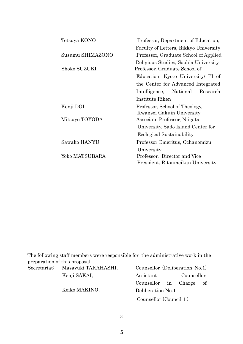| Tetsuya KONO     | Professor, Department of Education,   |
|------------------|---------------------------------------|
|                  | Faculty of Letters, Rikkyo University |
| Susumu SHIMAZONO | Professor, Graduate School of Applied |
|                  | Religious Studies, Sophia University  |
| Shoko SUZUKI     | Professor, Graduate School of         |
|                  | Education, Kyoto University/ PI of    |
|                  | the Center for Advanced Integrated    |
|                  | Intelligence, National<br>Research    |
|                  | Institute Riken                       |
| Kenji DOI        | Professor, School of Theology,        |
|                  | Kwansei Gakuin University             |
| Mitsuyo TOYODA   | Associate Professor, Niigata          |
|                  | University, Sado Island Center for    |
|                  | Ecological Sustainability             |
| Sawako HANYU     | Professor Emeritus, Ochanomizu        |
|                  | University                            |
| Yoko MATSUBARA   | Professor, Director and Vice          |
|                  | President, Ritsumeikan University     |

The following staff members were responsible for the administrative work in the preparation of this proposal.

| Secretariat: Masayuki TAKAHASHI, |
|----------------------------------|
| Kenji SAKAI,                     |
| Keiko MAKINO,                    |

Counsellor (Deliberation No.1) Assistant Counsellor, Counsellor in Charge of Deliberation No.1 Counsellor (Council 1 )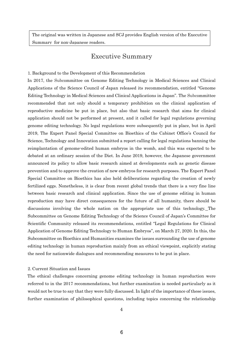The original was written in Japanese and SCJ provides English version of the Executive Summary for non-Japanese readers.

## Executive Summary

#### 1. Background to the Development of this Recommendation

In 2017, the Subcommittee on Genome Editing Technology in Medical Sciences and Clinical Applications of the Science Council of Japan released its recommendation, entitled "Genome Editing Technology in Medical Sciences and Clinical Applications in Japan". The Subcommittee recommended that not only should a temporary prohibition on the clinical application of reproductive medicine be put in place, but also that basic research that aims for clinical application should not be performed at present, and it called for legal regulations governing genome editing technology. No legal regulations were subsequently put in place, but in April 2019, The Expert Panel Special Committee on Bioethics of the Cabinet Office's Council for Science, Technology and Innovation submitted a report calling for legal regulations banning the reimplantation of genome-edited human embryos in the womb, and this was expected to be debated at an ordinary session of the Diet. In June 2019, however, the Japanese government announced its policy to allow basic research aimed at developments such as genetic disease prevention and to approve the creation of new embryos for research purposes. The Expert Panel Special Committee on Bioethics has also held deliberations regarding the creation of newly fertilized eggs. Nonetheless, it is clear from recent global trends that there is a very fine line between basic research and clinical application. Since the use of genome editing in human reproduction may have direct consequences for the future of all humanity, there should be discussions involving the whole nation on the appropriate use of this technology. The Subcommittee on Genome Editing Technology of the Science Council of Japan's Committee for Scientific Community released its recommendations, entitled "Legal Regulations for Clinical Application of Genome Editing Technology to Human Embryos", on March 27, 2020. In this, the Subcommittee on Bioethics and Humanities examines the issues surrounding the use of genome editing technology in human reproduction mainly from an ethical viewpoint, explicitly stating the need for nationwide dialogues and recommending measures to be put in place.

### 2. Current Situation and Issues

The ethical challenges concerning genome editing technology in human reproduction were referred to in the 2017 recommendations, but further examination is needed particularly as it would not be true to say that they were fully discussed. In light of the importance of these issues, further examination of philosophical questions, including topics concerning the relationship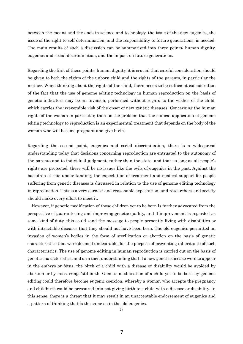between the means and the ends in science and technology, the issue of the new eugenics, the issue of the right to self-determination, and the responsibility to future generations, is needed. The main results of such a discussion can be summarized into three points: human dignity, eugenics and social discrimination, and the impact on future generations.

Regarding the first of these points, human dignity, it is crucial that careful consideration should be given to both the rights of the unborn child and the rights of the parents, in particular the mother. When thinking about the rights of the child, there needs to be sufficient consideration of the fact that the use of genome editing technology in human reproduction on the basis of genetic indicators may be an invasion, performed without regard to the wishes of the child, which carries the irreversible risk of the onset of new genetic diseases. Concerning the human rights of the woman in particular, there is the problem that the clinical application of genome editing technology to reproduction is an experimental treatment that depends on the body of the woman who will become pregnant and give birth.

Regarding the second point, eugenics and social discrimination, there is a widespread understanding today that decisions concerning reproduction are entrusted to the autonomy of the parents and to individual judgment, rather than the state, and that as long as all people's rights are protected, there will be no issues like the evils of eugenics in the past. Against the backdrop of this understanding, the expectation of treatment and medical support for people suffering from genetic diseases is discussed in relation to the use of genome editing technology in reproduction. This is a very earnest and reasonable expectation, and researchers and society should make every effort to meet it.

However, if genetic modification of those children yet to be born is further advocated from the perspective of guaranteeing and improving genetic quality, and if improvement is regarded as some kind of duty, this could send the message to people presently living with disabilities or with intractable diseases that they should not have been born. The old eugenics permitted an invasion of women's bodies in the form of sterilization or abortion on the basis of genetic characteristics that were deemed undesirable, for the purpose of preventing inheritance of such characteristics. The use of genome editing in human reproduction is carried out on the basis of genetic characteristics, and on a tacit understanding that if a new genetic disease were to appear in the embryo or fetus, the birth of a child with a disease or disability would be avoided by abortion or by miscarriage/stillbirth. Genetic modification of a child yet to be born by genome editing could therefore become eugenic coercion, whereby a woman who accepts the pregnancy and childbirth could be pressured into not giving birth to a child with a disease or disability. In this sense, there is a threat that it may result in an unacceptable endorsement of eugenics and a pattern of thinking that is the same as in the old eugenics.

5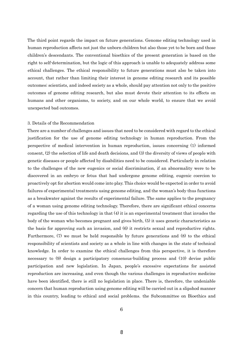The third point regards the impact on future generations. Genome editing technology used in human reproduction affects not just the unborn children but also those yet to be born and those children's descendants. The conventional bioethics of the present generation is based on the right to self-determination, but the logic of this approach is unable to adequately address some ethical challenges. The ethical responsibility to future generations must also be taken into account, that rather than limiting their interest in genome editing research and its possible outcomes; scientists, and indeed society as a whole, should pay attention not only to the positive outcomes of genome editing research, but also must devote their attention to its effects on humans and other organisms, to society, and on our whole world, to ensure that we avoid unexpected bad outcomes.

### 3. Details of the Recommendation

There are a number of challenges and issues that need to be considered with regard to the ethical justification for the use of genome editing technology in human reproduction. From the perspective of medical intervention in human reproduction, issues concerning (1) informed consent, (2) the selection of life and death decisions, and (3) the diversity of views of people with genetic diseases or people affected by disabilities need to be considered. Particularly in relation to the challenges of the new eugenics or social discrimination, if an abnormality were to be discovered in an embryo or fetus that had undergone genome editing, eugenic coercion to proactively opt for abortion would come into play. This choice would be expected in order to avoid failures of experimental treatments using genome editing, and the woman's body thus functions as a breakwater against the results of experimental failure. The same applies to the pregnancy of a woman using genome editing technology. Therefore, there are significant ethical concerns regarding the use of this technology in that (4) it is an experimental treatment that invades the body of the woman who becomes pregnant and gives birth, (5) it uses genetic characteristics as the basis for approving such an invasion, and (6) it restricts sexual and reproductive rights. Furthermore, (7) we must be held responsible by future generations and (8) to the ethical responsibility of scientists and society as a whole in line with changes in the state of technical knowledge. In order to examine the ethical challenges from this perspective, it is therefore necessary to (9) design a participatory consensus-building process and (10) devise public participation and new legislation. In Japan, people's excessive expectations for assisted reproduction are increasing, and even though the various challenges in reproductive medicine have been identified, there is still no legislation in place. There is, therefore, the undeniable concern that human reproduction using genome editing will be carried out in a slipshod manner in this country, leading to ethical and social problems. the Subcommittee on Bioethics and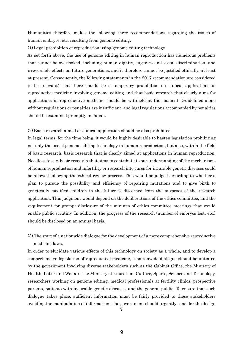Humanities therefore makes the following three recommendations regarding the issues of human embryos, etc. resulting from genome editing.

(1) Legal prohibition of reproduction using genome editing technology

As set forth above, the use of genome editing in human reproduction has numerous problems that cannot be overlooked, including human dignity, eugenics and social discrimination, and irreversible effects on future generations, and it therefore cannot be justified ethically, at least at present. Consequently, the following statements in the 2017 recommendation are considered to be relevant: that there should be a temporary prohibition on clinical applications of reproductive medicine involving genome editing and that basic research that clearly aims for applications in reproductive medicine should be withheld at the moment. Guidelines alone without regulations or penalties are insufficient, and legal regulations accompanied by penalties should be examined promptly in Japan.

### (2) Basic research aimed at clinical application should be also prohibited

In legal terms, for the time being, it would be highly desirable to hasten legislation prohibiting not only the use of genome editing technology in human reproduction, but also, within the field of basic research, basic research that is clearly aimed at applications in human reproduction. Needless to say, basic research that aims to contribute to our understanding of the mechanisms of human reproduction and infertility or research into cures for incurable genetic diseases could be allowed following the ethical review process. This would be judged according to whether a plan to pursue the possibility and efficiency of repairing mutations and to give birth to genetically modified children in the future is discerned from the purposes of the research application. This judgment would depend on the deliberations of the ethics committee, and the requirement for prompt disclosure of the minutes of ethics committee meetings that would enable public scrutiny. In addition, the progress of the research (number of embryos lost, etc.) should be disclosed on an annual basis.

(3) The start of a nationwide dialogue for the development of a more comprehensive reproductive medicine laws.

In order to elucidate various effects of this technology on society as a whole, and to develop a comprehensive legislation of reproductive medicine, a nationwide dialogue should be initiated by the government involving diverse stakeholders such as the Cabinet Office, the Ministry of Health, Labor and Welfare, the Ministry of Education, Culture, Sports, Science and Technology, researchers working on genome editing, medical professionals at fertility clinics, prospective parents, patients with incurable genetic diseases, and the general public. To ensure that such dialogue takes place, sufficient information must be fairly provided to these stakeholders avoiding the manipulation of information. The government should urgently consider the design